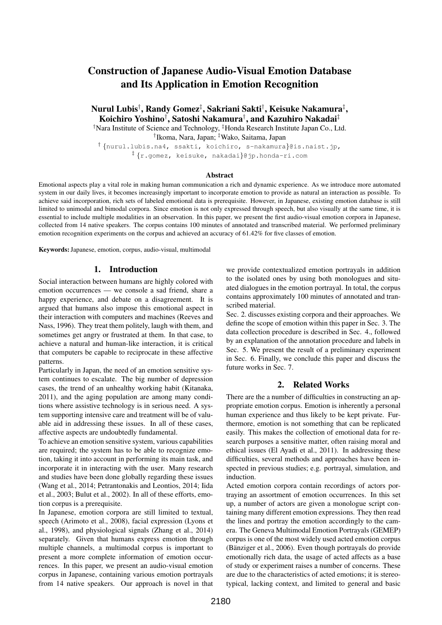# Construction of Japanese Audio-Visual Emotion Database and Its Application in Emotion Recognition

Nurul Lubis†, Randy Gomez‡, Sakriani Sakti†, Keisuke Nakamura‡, Koichiro Yoshino† , Satoshi Nakamura† , and Kazuhiro Nakadai‡

†Nara Institute of Science and Technology, ‡Honda Research Institute Japan Co., Ltd.

† Ikoma, Nara, Japan; ‡Wako, Saitama, Japan

† {nurul.lubis.na4, ssakti, koichiro, s-nakamura}@is.naist.jp, ‡ {r.gomez, keisuke, nakadai}@jp.honda-ri.com

#### Abstract

Emotional aspects play a vital role in making human communication a rich and dynamic experience. As we introduce more automated system in our daily lives, it becomes increasingly important to incorporate emotion to provide as natural an interaction as possible. To achieve said incorporation, rich sets of labeled emotional data is prerequisite. However, in Japanese, existing emotion database is still limited to unimodal and bimodal corpora. Since emotion is not only expressed through speech, but also visually at the same time, it is essential to include multiple modalities in an observation. In this paper, we present the first audio-visual emotion corpora in Japanese, collected from 14 native speakers. The corpus contains 100 minutes of annotated and transcribed material. We performed preliminary emotion recognition experiments on the corpus and achieved an accuracy of 61.42% for five classes of emotion.

Keywords:Japanese, emotion, corpus, audio-visual, multimodal

#### 1. Introduction

Social interaction between humans are highly colored with emotion occurrences — we console a sad friend, share a happy experience, and debate on a disagreement. It is argued that humans also impose this emotional aspect in their interaction with computers and machines (Reeves and Nass, 1996). They treat them politely, laugh with them, and sometimes get angry or frustrated at them. In that case, to achieve a natural and human-like interaction, it is critical that computers be capable to reciprocate in these affective patterns.

Particularly in Japan, the need of an emotion sensitive system continues to escalate. The big number of depression cases, the trend of an unhealthy working habit (Kitanaka, 2011), and the aging population are among many conditions where assistive technology is in serious need. A system supporting intensive care and treatment will be of valuable aid in addressing these issues. In all of these cases, affective aspects are undoubtedly fundamental.

To achieve an emotion sensitive system, various capabilities are required; the system has to be able to recognize emotion, taking it into account in performing its main task, and incorporate it in interacting with the user. Many research and studies have been done globally regarding these issues (Wang et al., 2014; Petrantonakis and Leontios, 2014; Iida et al., 2003; Bulut et al., 2002). In all of these efforts, emotion corpus is a prerequisite.

In Japanese, emotion corpora are still limited to textual, speech (Arimoto et al., 2008), facial expression (Lyons et al., 1998), and physiological signals (Zhang et al., 2014) separately. Given that humans express emotion through multiple channels, a multimodal corpus is important to present a more complete information of emotion occurrences. In this paper, we present an audio-visual emotion corpus in Japanese, containing various emotion portrayals from 14 native speakers. Our approach is novel in that we provide contextualized emotion portrayals in addition to the isolated ones by using both monologues and situated dialogues in the emotion portrayal. In total, the corpus contains approximately 100 minutes of annotated and transcribed material.

Sec. 2. discusses existing corpora and their approaches. We define the scope of emotion within this paper in Sec. 3. The data collection procedure is described in Sec. 4., followed by an explanation of the annotation procedure and labels in Sec. 5. We present the result of a preliminary experiment in Sec. 6. Finally, we conclude this paper and discuss the future works in Sec. 7.

## 2. Related Works

There are the a number of difficulties in constructing an appropriate emotion corpus. Emotion is inherently a personal human experience and thus likely to be kept private. Furthermore, emotion is not something that can be replicated easily. This makes the collection of emotional data for research purposes a sensitive matter, often raising moral and ethical issues (El Ayadi et al., 2011). In addressing these difficulties, several methods and approaches have been inspected in previous studies; e.g. portrayal, simulation, and induction.

Acted emotion corpora contain recordings of actors portraying an assortment of emotion occurrences. In this set up, a number of actors are given a monologue script containing many different emotion expressions. They then read the lines and portray the emotion accordingly to the camera. The Geneva Multimodal Emotion Portrayals (GEMEP) corpus is one of the most widely used acted emotion corpus (Bänziger et al.,  $2006$ ). Even though portrayals do provide emotionally rich data, the usage of acted affects as a base of study or experiment raises a number of concerns. These are due to the characteristics of acted emotions; it is stereotypical, lacking context, and limited to general and basic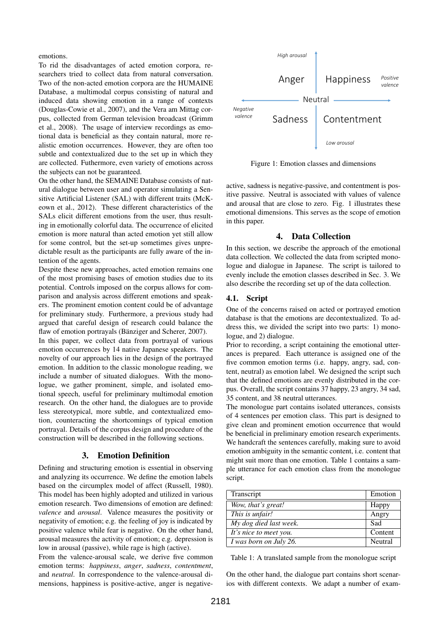emotions.

To rid the disadvantages of acted emotion corpora, researchers tried to collect data from natural conversation. Two of the non-acted emotion corpora are the HUMAINE Database, a multimodal corpus consisting of natural and induced data showing emotion in a range of contexts (Douglas-Cowie et al., 2007), and the Vera am Mittag corpus, collected from German television broadcast (Grimm et al., 2008). The usage of interview recordings as emotional data is beneficial as they contain natural, more realistic emotion occurrences. However, they are often too subtle and contextualized due to the set up in which they are collected. Futhermore, even variety of emotions across the subjects can not be guaranteed.

On the other hand, the SEMAINE Database consists of natural dialogue between user and operator simulating a Sensitive Artificial Listener (SAL) with different traits (McKeown et al., 2012). These different characteristics of the SALs elicit different emotions from the user, thus resulting in emotionally colorful data. The occurrence of elicited emotion is more natural than acted emotion yet still allow for some control, but the set-up sometimes gives unpredictable result as the participants are fully aware of the intention of the agents.

Despite these new approaches, acted emotion remains one of the most promising bases of emotion studies due to its potential. Controls imposed on the corpus allows for comparison and analysis across different emotions and speakers. The prominent emotion content could be of advantage for preliminary study. Furthermore, a previous study had argued that careful design of research could balance the flaw of emotion portrayals (Bänziger and Scherer, 2007).

In this paper, we collect data from portrayal of various emotion occurrences by 14 native Japanese speakers. The novelty of our approach lies in the design of the portrayed emotion. In addition to the classic monologue reading, we include a number of situated dialogues. With the monologue, we gather prominent, simple, and isolated emotional speech, useful for preliminary multimodal emotion research. On the other hand, the dialogues are to provide less stereotypical, more subtle, and contextualized emotion, counteracting the shortcomings of typical emotion portrayal. Details of the corpus design and procedure of the construction will be described in the following sections.

# 3. Emotion Definition

Defining and structuring emotion is essential in observing and analyzing its occurrence. We define the emotion labels based on the circumplex model of affect (Russell, 1980). This model has been highly adopted and utilized in various emotion research. Two dimensions of emotion are defined: *valence* and *arousal*. Valence measures the positivity or negativity of emotion; e.g. the feeling of joy is indicated by positive valence while fear is negative. On the other hand, arousal measures the activity of emotion; e.g. depression is low in arousal (passive), while rage is high (active).

From the valence-arousal scale, we derive five common emotion terms: *happiness*, *anger*, *sadness*, *contentment*, and *neutral*. In correspondence to the valence-arousal dimensions, happiness is positive-active, anger is negative-



Figure 1: Emotion classes and dimensions

active, sadness is negative-passive, and contentment is positive passive. Neutral is associated with values of valence and arousal that are close to zero. Fig. 1 illustrates these emotional dimensions. This serves as the scope of emotion in this paper.

## 4. Data Collection

In this section, we describe the approach of the emotional data collection. We collected the data from scripted monologue and dialogue in Japanese. The script is tailored to evenly include the emotion classes described in Sec. 3. We also describe the recording set up of the data collection.

# 4.1. Script

One of the concerns raised on acted or portrayed emotion database is that the emotions are decontextualized. To address this, we divided the script into two parts: 1) monologue, and 2) dialogue.

Prior to recording, a script containing the emotional utterances is prepared. Each utterance is assigned one of the five common emotion terms (i.e. happy, angry, sad, content, neutral) as emotion label. We designed the script such that the defined emotions are evenly distributed in the corpus. Overall, the script contains 37 happy, 23 angry, 34 sad, 35 content, and 38 neutral utterances.

The monologue part contains isolated utterances, consists of 4 sentences per emotion class. This part is designed to give clean and prominent emotion occurrence that would be beneficial in preliminary emotion research experiments. We handcraft the sentences carefully, making sure to avoid emotion ambiguity in the semantic content, i.e. content that might suit more than one emotion. Table 1 contains a sample utterance for each emotion class from the monologue script.

| Transcript             | Emotion |
|------------------------|---------|
| Wow, that's great!     | Happy   |
| This is unfair!        | Angry   |
| My dog died last week. | Sad     |
| It's nice to meet you. | Content |
| I was born on July 26. | Neutral |

Table 1: A translated sample from the monologue script

On the other hand, the dialogue part contains short scenarios with different contexts. We adapt a number of exam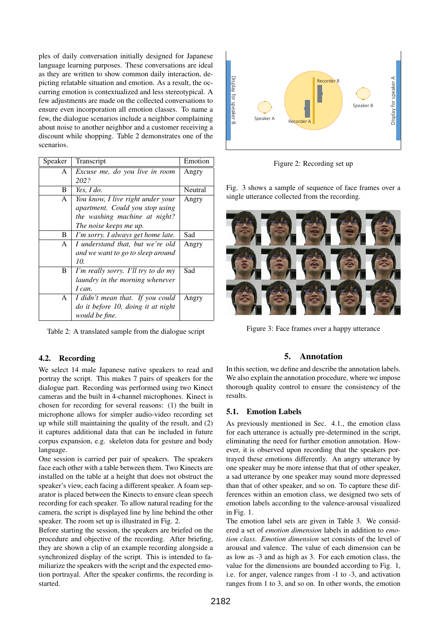ples of daily conversation initially designed for Japanese language learning purposes. These conversations are ideal as they are written to show common daily interaction, depicting relatable situation and emotion. As a result, the occurring emotion is contextualized and less stereotypical. A few adjustments are made on the collected conversations to ensure even incorporation all emotion classes. To name a few, the dialogue scenarios include a neighbor complaining about noise to another neighbor and a customer receiving a discount while shopping. Table 2 demonstrates one of the scenarios.

| Speaker      | Transcript                          | Emotion |
|--------------|-------------------------------------|---------|
| A            | Excuse me, do you live in room      | Angry   |
|              | 202?                                |         |
| B            | Yes, $I$ do.                        | Neutral |
| A            | You know, I live right under your   | Angry   |
|              | apartment. Could you stop using     |         |
|              | the washing machine at night?       |         |
|              | The noise keeps me up.              |         |
| B            | I'm sorry. I always get home late.  | Sad     |
| $\mathsf{A}$ | I understand that, but we're old    | Angry   |
|              | and we want to go to sleep around   |         |
|              | 10.                                 |         |
| B            | I'm really sorry. I'll try to do my | Sad     |
|              | laundry in the morning whenever     |         |
|              | I can.                              |         |
| A            | I didn't mean that. If you could    | Angry   |
|              | do it before 10, doing it at night  |         |
|              | <i>would be fine.</i>               |         |

Table 2: A translated sample from the dialogue script

## 4.2. Recording

We select 14 male Japanese native speakers to read and portray the script. This makes 7 pairs of speakers for the dialogue part. Recording was performed using two Kinect cameras and the built in 4-channel microphones. Kinect is chosen for recording for several reasons: (1) the built in microphone allows for simpler audio-video recording set up while still maintaining the quality of the result, and (2) it captures additional data that can be included in future corpus expansion, e.g. skeleton data for gesture and body language.

One session is carried per pair of speakers. The speakers face each other with a table between them. Two Kinects are installed on the table at a height that does not obstruct the speaker's view, each facing a different speaker. A foam separator is placed between the Kinects to ensure clean speech recording for each speaker. To allow natural reading for the camera, the script is displayed line by line behind the other speaker. The room set up is illustrated in Fig. 2.

Before starting the session, the speakers are briefed on the procedure and objective of the recording. After briefing, they are shown a clip of an example recording alongside a synchronized display of the script. This is intended to familiarize the speakers with the script and the expected emotion portrayal. After the speaker confirms, the recording is started.



Figure 2: Recording set up

Fig. 3 shows a sample of sequence of face frames over a single utterance collected from the recording.



Figure 3: Face frames over a happy utterance

## 5. Annotation

In this section, we define and describe the annotation labels. We also explain the annotation procedure, where we impose thorough quality control to ensure the consistency of the results.

#### 5.1. Emotion Labels

As previously mentioned in Sec. 4.1., the emotion class for each utterance is actually pre-determined in the script, eliminating the need for further emotion annotation. However, it is observed upon recording that the speakers portrayed these emotions differently. An angry utterance by one speaker may be more intense that that of other speaker, a sad utterance by one speaker may sound more depressed than that of other speaker, and so on. To capture these differences within an emotion class, we designed two sets of emotion labels according to the valence-arousal visualized in Fig. 1.

The emotion label sets are given in Table 3. We considered a set of *emotion dimension* labels in addition to *emotion class*. *Emotion dimension* set consists of the level of arousal and valence. The value of each dimension can be as low as -3 and as high as 3. For each emotion class, the value for the dimensions are bounded according to Fig. 1, i.e. for anger, valence ranges from -1 to -3, and activation ranges from 1 to 3, and so on. In other words, the emotion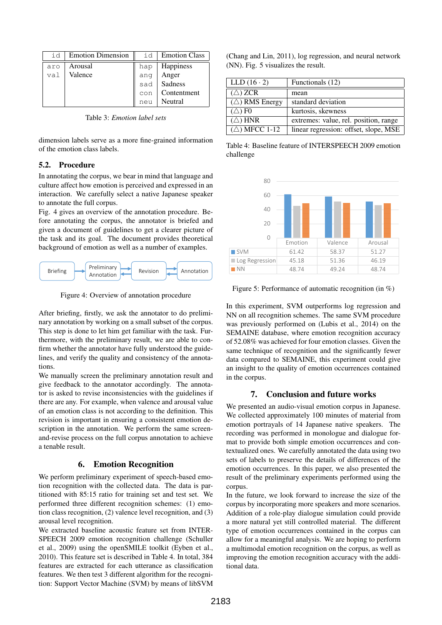| id  | <b>Emotion Dimension</b> | id  | <b>Emotion Class</b> |
|-----|--------------------------|-----|----------------------|
| aro | Arousal                  | hap | Happiness            |
| val | Valence                  | ang | Anger                |
|     |                          | sad | Sadness              |
|     |                          | con | Contentment          |
|     |                          | neu | Neutral              |

Table 3: *Emotion label sets*

dimension labels serve as a more fine-grained information of the emotion class labels.

## 5.2. Procedure

In annotating the corpus, we bear in mind that language and culture affect how emotion is perceived and expressed in an interaction. We carefully select a native Japanese speaker to annotate the full corpus.

Fig. 4 gives an overview of the annotation procedure. Before annotating the corpus, the annotator is briefed and given a document of guidelines to get a clearer picture of the task and its goal. The document provides theoretical background of emotion as well as a number of examples.



Figure 4: Overview of annotation procedure

After briefing, firstly, we ask the annotator to do preliminary annotation by working on a small subset of the corpus. This step is done to let him get familiar with the task. Furthermore, with the preliminary result, we are able to confirm whether the annotator have fully understood the guidelines, and verify the quality and consistency of the annotations.

We manually screen the preliminary annotation result and give feedback to the annotator accordingly. The annotator is asked to revise inconsistencies with the guidelines if there are any. For example, when valence and arousal value of an emotion class is not according to the definition. This revision is important in ensuring a consistent emotion description in the annotation. We perform the same screenand-revise process on the full corpus annotation to achieve a tenable result.

#### 6. Emotion Recognition

We perform preliminary experiment of speech-based emotion recognition with the collected data. The data is partitioned with 85:15 ratio for training set and test set. We performed three different recognition schemes: (1) emotion class recognition, (2) valence level recognition, and (3) arousal level recognition.

We extracted baseline acoustic feature set from INTER-SPEECH 2009 emotion recognition challenge (Schuller et al., 2009) using the openSMILE toolkit (Eyben et al., 2010). This feature set is described in Table 4. In total, 384 features are extracted for each utterance as classification features. We then test 3 different algorithm for the recognition: Support Vector Machine (SVM) by means of libSVM

(Chang and Lin, 2011), log regression, and neural network (NN). Fig. 5 visualizes the result.

| LLD $(16 \cdot 2)$           | Functionals (12)                      |
|------------------------------|---------------------------------------|
| $(\triangle)$ ZCR            | mean                                  |
| $(\triangle)$ RMS Energy     | standard deviation                    |
| $(\triangle)$ F <sub>0</sub> | kurtosis, skewness                    |
| $(\triangle)$ HNR            | extremes: value, rel. position, range |
| $(\triangle)$ MFCC 1-12      | linear regression: offset, slope, MSE |

Table 4: Baseline feature of INTERSPEECH 2009 emotion challenge



Figure 5: Performance of automatic recognition (in %)

In this experiment, SVM outperforms log regression and NN on all recognition schemes. The same SVM procedure was previously performed on (Lubis et al., 2014) on the SEMAINE database, where emotion recognition accuracy of 52.08% was achieved for four emotion classes. Given the same technique of recognition and the significantly fewer data compared to SEMAINE, this experiment could give an insight to the quality of emotion occurrences contained in the corpus.

## 7. Conclusion and future works

We presented an audio-visual emotion corpus in Japanese. We collected approximately 100 minutes of material from emotion portrayals of 14 Japanese native speakers. The recording was performed in monologue and dialogue format to provide both simple emotion occurrences and contextualized ones. We carefully annotated the data using two sets of labels to preserve the details of differences of the emotion occurrences. In this paper, we also presented the result of the preliminary experiments performed using the corpus.

In the future, we look forward to increase the size of the corpus by incorporating more speakers and more scenarios. Addition of a role-play dialogue simulation could provide a more natural yet still controlled material. The different type of emotion occurrences contained in the corpus can allow for a meaningful analysis. We are hoping to perform a multimodal emotion recognition on the corpus, as well as improving the emotion recognition accuracy with the additional data.